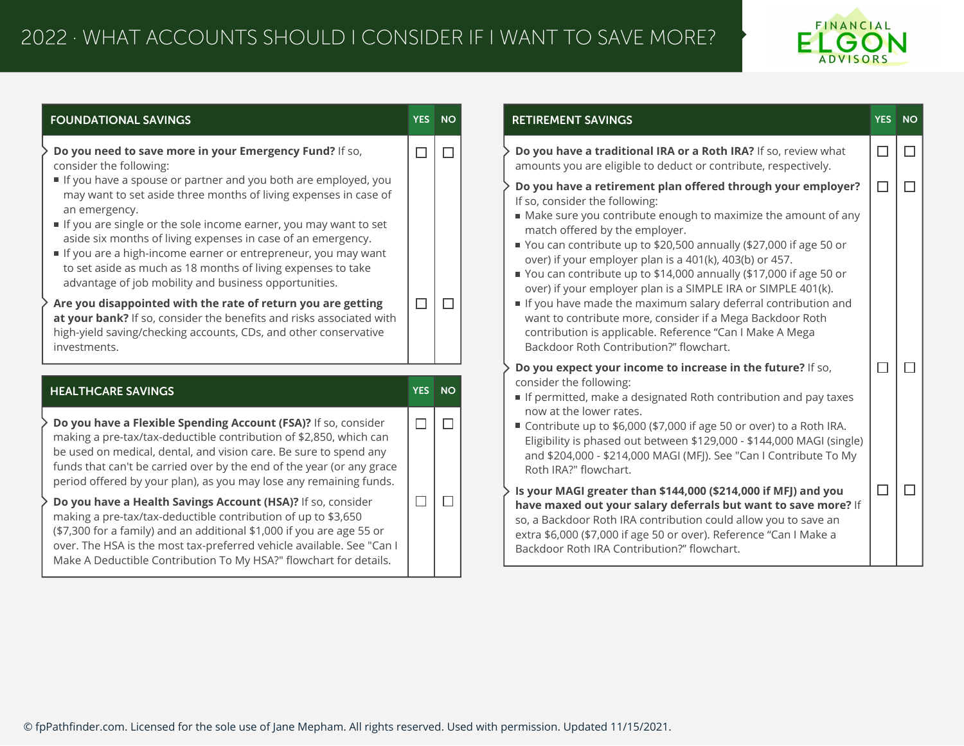## 2022 · WHAT ACCOUNTS SHOULD I CONSIDER IF I WANT TO SAVE MORE?



| <b>FOUNDATIONAL SAVINGS</b>                                                                                                                                                                                                                                                                                                                                                                                                                                                                                                                                                                                                                                                                                   |        | YES NO       | <b>RETIREMENT SAVINGS</b>                                                                                                                                                                                                                                                                                                                                                                                                                                                                                                                                                                                                                                                                                        | YES NO |  |
|---------------------------------------------------------------------------------------------------------------------------------------------------------------------------------------------------------------------------------------------------------------------------------------------------------------------------------------------------------------------------------------------------------------------------------------------------------------------------------------------------------------------------------------------------------------------------------------------------------------------------------------------------------------------------------------------------------------|--------|--------------|------------------------------------------------------------------------------------------------------------------------------------------------------------------------------------------------------------------------------------------------------------------------------------------------------------------------------------------------------------------------------------------------------------------------------------------------------------------------------------------------------------------------------------------------------------------------------------------------------------------------------------------------------------------------------------------------------------------|--------|--|
| Do you need to save more in your Emergency Fund? If so,<br>consider the following:                                                                                                                                                                                                                                                                                                                                                                                                                                                                                                                                                                                                                            | $\Box$ | $\Box$       | Do you have a traditional IRA or a Roth IRA? If so, review what<br>amounts you are eligible to deduct or contribute, respectively.                                                                                                                                                                                                                                                                                                                                                                                                                                                                                                                                                                               | $\Box$ |  |
| If you have a spouse or partner and you both are employed, you<br>may want to set aside three months of living expenses in case of<br>an emergency.<br>If you are single or the sole income earner, you may want to set<br>aside six months of living expenses in case of an emergency.<br>If you are a high-income earner or entrepreneur, you may want<br>to set aside as much as 18 months of living expenses to take<br>advantage of job mobility and business opportunities.<br>Are you disappointed with the rate of return you are getting<br>at your bank? If so, consider the benefits and risks associated with<br>high-yield saving/checking accounts, CDs, and other conservative<br>investments. | □      | $\Box$       | Do you have a retirement plan offered through your employer?<br>If so, consider the following:<br>Make sure you contribute enough to maximize the amount of any<br>match offered by the employer.<br>■ You can contribute up to \$20,500 annually (\$27,000 if age 50 or<br>over) if your employer plan is a 401(k), 403(b) or 457.<br>■ You can contribute up to \$14,000 annually (\$17,000 if age 50 or<br>over) if your employer plan is a SIMPLE IRA or SIMPLE 401(k).<br>If you have made the maximum salary deferral contribution and<br>want to contribute more, consider if a Mega Backdoor Roth<br>contribution is applicable. Reference "Can I Make A Mega<br>Backdoor Roth Contribution?" flowchart. | $\Box$ |  |
| <b>HEALTHCARE SAVINGS</b>                                                                                                                                                                                                                                                                                                                                                                                                                                                                                                                                                                                                                                                                                     |        | YES NO       | Do you expect your income to increase in the future? If so,<br>consider the following:<br>If permitted, make a designated Roth contribution and pay taxes                                                                                                                                                                                                                                                                                                                                                                                                                                                                                                                                                        |        |  |
| Do you have a Flexible Spending Account (FSA)? If so, consider<br>making a pre-tax/tax-deductible contribution of \$2,850, which can<br>be used on medical, dental, and vision care. Be sure to spend any<br>funds that can't be carried over by the end of the year (or any grace<br>period offered by your plan), as you may lose any remaining funds.                                                                                                                                                                                                                                                                                                                                                      | $\Box$ | П            | now at the lower rates.<br>■ Contribute up to \$6,000 (\$7,000 if age 50 or over) to a Roth IRA.<br>Eligibility is phased out between \$129,000 - \$144,000 MAGI (single)<br>and \$204,000 - \$214,000 MAGI (MFJ). See "Can I Contribute To My<br>Roth IRA?" flowchart.                                                                                                                                                                                                                                                                                                                                                                                                                                          |        |  |
| Do you have a Health Savings Account (HSA)? If so, consider<br>making a pre-tax/tax-deductible contribution of up to \$3,650<br>(\$7,300 for a family) and an additional \$1,000 if you are age 55 or<br>over. The HSA is the most tax-preferred vehicle available. See "Can I<br>Make A Deductible Contribution To My HSA?" flowchart for details.                                                                                                                                                                                                                                                                                                                                                           | $\Box$ | $\mathsf{L}$ | Is your MAGI greater than \$144,000 (\$214,000 if MFJ) and you<br>have maxed out your salary deferrals but want to save more? If<br>so, a Backdoor Roth IRA contribution could allow you to save an<br>extra \$6,000 (\$7,000 if age 50 or over). Reference "Can I Make a<br>Backdoor Roth IRA Contribution?" flowchart.                                                                                                                                                                                                                                                                                                                                                                                         | □      |  |

© fpPathfinder.com. Licensed for the sole use of Jane Mepham. All rights reserved. Used with permission. Updated 11/15/2021.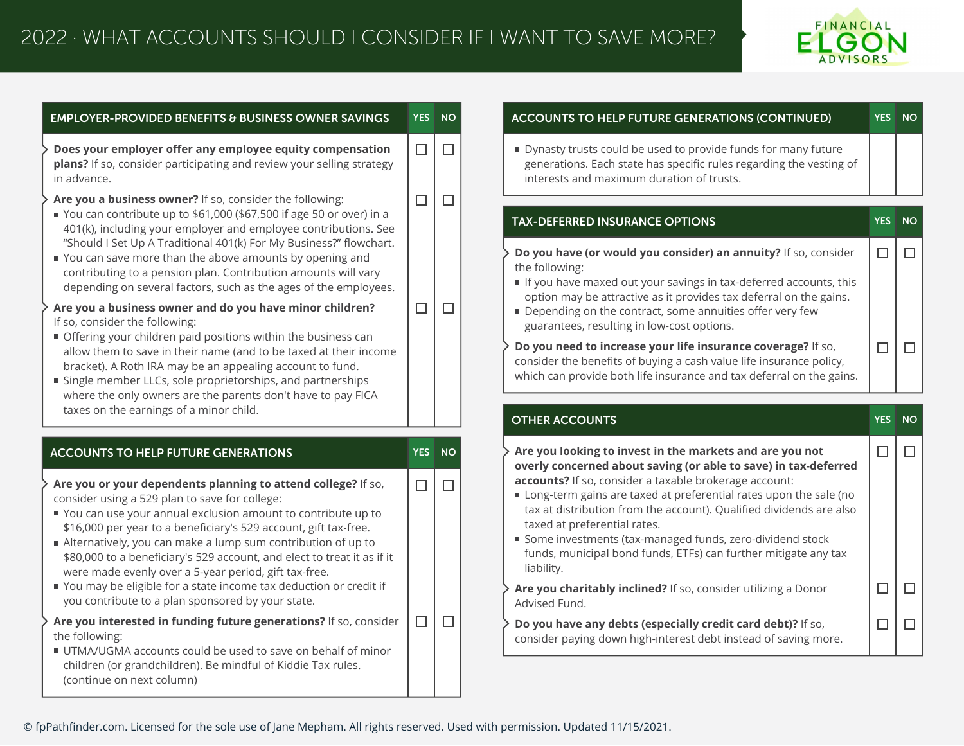

 $\Box$ 

 $\Box$ 

 $\Box$ 

 $\Box$ 

| <b>EMPLOYER-PROVIDED BENEFITS &amp; BUSINESS OWNER SAVINGS</b>                                                                                                                                                                                                                                                                                                                                                                                                                                                                                                                                                                                                                                                                                                                                                                                                                                                                                      | <b>YES</b>       | <b>NO</b>   | <b>ACCOUNTS</b>                                                                                                                                                                 |
|-----------------------------------------------------------------------------------------------------------------------------------------------------------------------------------------------------------------------------------------------------------------------------------------------------------------------------------------------------------------------------------------------------------------------------------------------------------------------------------------------------------------------------------------------------------------------------------------------------------------------------------------------------------------------------------------------------------------------------------------------------------------------------------------------------------------------------------------------------------------------------------------------------------------------------------------------------|------------------|-------------|---------------------------------------------------------------------------------------------------------------------------------------------------------------------------------|
| Does your employer offer any employee equity compensation<br>plans? If so, consider participating and review your selling strategy<br>in advance.                                                                                                                                                                                                                                                                                                                                                                                                                                                                                                                                                                                                                                                                                                                                                                                                   | $\Box$           | $\Box$      | Dynasty tru<br>generation:<br>interests ar                                                                                                                                      |
| Are you a business owner? If so, consider the following:<br>You can contribute up to \$61,000 (\$67,500 if age 50 or over) in a<br>401(k), including your employer and employee contributions. See<br>"Should I Set Up A Traditional 401(k) For My Business?" flowchart.<br>You can save more than the above amounts by opening and<br>contributing to a pension plan. Contribution amounts will vary<br>depending on several factors, such as the ages of the employees.<br>Are you a business owner and do you have minor children?<br>If so, consider the following:<br>Offering your children paid positions within the business can<br>allow them to save in their name (and to be taxed at their income<br>bracket). A Roth IRA may be an appealing account to fund.<br>single member LLCs, sole proprietorships, and partnerships<br>where the only owners are the parents don't have to pay FICA<br>taxes on the earnings of a minor child. | $\Box$<br>$\Box$ | $\Box$<br>□ | <b>TAX-DEFERRI</b><br>Do you have<br>the following<br>If you have<br>option may<br>Depending<br>guarantees<br>Do you need<br>consider the<br>which can pro<br><b>OTHER ACCO</b> |
| <b>ACCOUNTS TO HELP FUTURE GENERATIONS</b>                                                                                                                                                                                                                                                                                                                                                                                                                                                                                                                                                                                                                                                                                                                                                                                                                                                                                                          | <b>YES</b>       | <b>NO</b>   | Are you look                                                                                                                                                                    |
| Are you or your dependents planning to attend college? If so,<br>consider using a 529 plan to save for college:<br>You can use your annual exclusion amount to contribute up to<br>\$16,000 per year to a beneficiary's 529 account, gift tax-free.<br>Alternatively, you can make a lump sum contribution of up to<br>\$80,000 to a beneficiary's 529 account, and elect to treat it as if it                                                                                                                                                                                                                                                                                                                                                                                                                                                                                                                                                      | $\Box$           | $\Box$      | overly conce<br>accounts? If<br>Long-term<br>tax at distri<br>taxed at pr<br>Some inves<br>funds, mun                                                                           |
| were made evenly over a 5-year period, gift tax-free.<br>You may be eligible for a state income tax deduction or credit if<br>you contribute to a plan sponsored by your state.                                                                                                                                                                                                                                                                                                                                                                                                                                                                                                                                                                                                                                                                                                                                                                     |                  |             | liability.<br>Are you char<br><b>Advised Func</b>                                                                                                                               |

## **ACCOUNTS TO HELP FUTURE GENERATIONS (CONTINUED) YES NO**

usts could be used to provide funds for many future is. Each state has specific rules regarding the vesting of nd maximum duration of trusts.

## **TAX-DEFERRED INSURANCE OPTIONS YES NO**

- **(or would you consider) an annuity?** If so, consider the following:
- maxed out your savings in tax-deferred accounts, this y be attractive as it provides tax deferral on the gains.
- on the contract, some annuities offer very few s, resulting in low-cost options.
- **d to increase your life insurance coverage?** If so, benefits of buying a cash value life insurance policy, ovide both life insurance and tax deferral on the gains.

| <b>OTHER ACCOUNTS</b>                                                                                                                                                                                                                                                                                                                                                                                                                                                                                                    | <b>YES</b> | <b>NO</b> |
|--------------------------------------------------------------------------------------------------------------------------------------------------------------------------------------------------------------------------------------------------------------------------------------------------------------------------------------------------------------------------------------------------------------------------------------------------------------------------------------------------------------------------|------------|-----------|
| $\cdot$ Are you looking to invest in the markets and are you not<br>overly concerned about saving (or able to save) in tax-deferred<br>accounts? If so, consider a taxable brokerage account:<br>Long-term gains are taxed at preferential rates upon the sale (no<br>tax at distribution from the account). Qualified dividends are also<br>taxed at preferential rates.<br>■ Some investments (tax-managed funds, zero-dividend stock<br>funds, municipal bond funds, ETFs) can further mitigate any tax<br>liability. |            |           |
| Are you charitably inclined? If so, consider utilizing a Donor<br>Advised Fund.                                                                                                                                                                                                                                                                                                                                                                                                                                          |            |           |
| Do you have any debts (especially credit card debt)? If so,<br>consider paying down high-interest debt instead of saving more.                                                                                                                                                                                                                                                                                                                                                                                           |            |           |

© fpPathfinder.com. Licensed for the sole use of Jane Mepham. All rights reserved. Used with permission. Updated 11/15/2021.